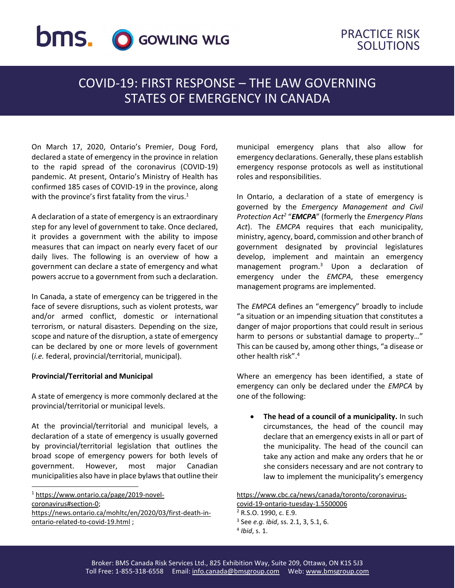# **bms.** O GOWLING WLG

## PRACTICE RISK SOLUTIONS

## COVID-19: FIRST RESPONSE – THE LAW GOVERNING STATES OF EMERGENCY IN CANADA

On March 17, 2020, Ontario's Premier, Doug Ford, declared a state of emergency in the province in relation to the rapid spread of the coronavirus (COVID-19) pandemic. At present, Ontario's Ministry of Health has confirmed 185 cases of COVID-19 in the province, along with the province's first fatality from the virus. $1$ 

A declaration of a state of emergency is an extraordinary step for any level of government to take. Once declared, it provides a government with the ability to impose measures that can impact on nearly every facet of our daily lives. The following is an overview of how a government can declare a state of emergency and what powers accrue to a government from such a declaration.

In Canada, a state of emergency can be triggered in the face of severe disruptions, such as violent protests, war and/or armed conflict, domestic or international terrorism, or natural disasters. Depending on the size, scope and nature of the disruption, a state of emergency can be declared by one or more levels of government (*i.e.* federal, provincial/territorial, municipal).

#### **Provincial/Territorial and Municipal**

 $\overline{a}$ 

A state of emergency is more commonly declared at the provincial/territorial or municipal levels.

At the provincial/territorial and municipal levels, a declaration of a state of emergency is usually governed by provincial/territorial legislation that outlines the broad scope of emergency powers for both levels of government. However, most major Canadian municipalities also have in place bylaws that outline their

<sup>1</sup> [https://www.ontario.ca/page/2019-novel](https://www.ontario.ca/page/2019-novel-coronavirus#section-0)[coronavirus#section-0;](https://www.ontario.ca/page/2019-novel-coronavirus#section-0) [https://news.ontario.ca/mohltc/en/2020/03/first-death-in](https://news.ontario.ca/mohltc/en/2020/03/first-death-in-ontario-related-to-covid-19.html)[ontario-related-to-covid-19.html](https://news.ontario.ca/mohltc/en/2020/03/first-death-in-ontario-related-to-covid-19.html) ;

municipal emergency plans that also allow for emergency declarations. Generally, these plans establish emergency response protocols as well as institutional roles and responsibilities.

In Ontario, a declaration of a state of emergency is governed by the *Emergency Management and Civil Protection Act<sup>2</sup>* "*EMCPA*" (formerly the *Emergency Plans Act*). The *EMCPA* requires that each municipality, ministry, agency, board, commission and other branch of government designated by provincial legislatures develop, implement and maintain an emergency management program.<sup>3</sup> Upon a declaration of emergency under the *EMCPA*, these emergency management programs are implemented.

The *EMPCA* defines an "emergency" broadly to include "a situation or an impending situation that constitutes a danger of major proportions that could result in serious harm to persons or substantial damage to property…" This can be caused by, among other things, "a disease or other health risk".<sup>4</sup>

Where an emergency has been identified, a state of emergency can only be declared under the *EMPCA* by one of the following:

 **The head of a council of a municipality.** In such circumstances, the head of the council may declare that an emergency exists in all or part of the municipality. The head of the council can take any action and make any orders that he or she considers necessary and are not contrary to law to implement the municipality's emergency

[https://www.cbc.ca/news/canada/toronto/coronavirus-](https://www.cbc.ca/news/canada/toronto/coronavirus-covid-19-ontario-tuesday-1.5500006)

3 See *e.g. ibid*, ss. 2.1, 3, 5.1, 6.

[covid-19-ontario-tuesday-1.5500006](https://www.cbc.ca/news/canada/toronto/coronavirus-covid-19-ontario-tuesday-1.5500006)

<sup>2</sup> R.S.O. 1990, c. E.9.

<sup>4</sup> *Ibid*, s. 1.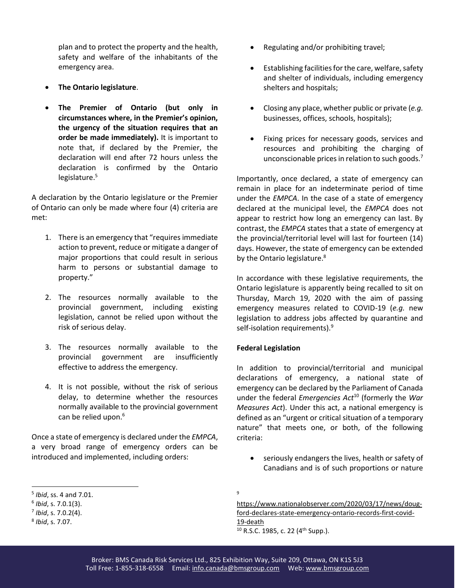plan and to protect the property and the health, safety and welfare of the inhabitants of the emergency area.

- **The Ontario legislature**.
- **The Premier of Ontario (but only in circumstances where, in the Premier's opinion, the urgency of the situation requires that an order be made immediately).** It is important to note that, if declared by the Premier, the declaration will end after 72 hours unless the declaration is confirmed by the Ontario legislature.<sup>5</sup>

A declaration by the Ontario legislature or the Premier of Ontario can only be made where four (4) criteria are met:

- 1. There is an emergency that "requires immediate action to prevent, reduce or mitigate a danger of major proportions that could result in serious harm to persons or substantial damage to property."
- 2. The resources normally available to the provincial government, including existing legislation, cannot be relied upon without the risk of serious delay.
- 3. The resources normally available to the provincial government are insufficiently effective to address the emergency.
- 4. It is not possible, without the risk of serious delay, to determine whether the resources normally available to the provincial government can be relied upon.<sup>6</sup>

Once a state of emergency is declared under the *EMPCA*, a very broad range of emergency orders can be introduced and implemented, including orders:

 $\overline{a}$ 

- Regulating and/or prohibiting travel;
- Establishing facilities for the care, welfare, safety and shelter of individuals, including emergency shelters and hospitals;
- Closing any place, whether public or private (*e.g.* businesses, offices, schools, hospitals);
- Fixing prices for necessary goods, services and resources and prohibiting the charging of unconscionable prices in relation to such goods. $<sup>7</sup>$ </sup>

Importantly, once declared, a state of emergency can remain in place for an indeterminate period of time under the *EMPCA*. In the case of a state of emergency declared at the municipal level, the *EMPCA* does not appear to restrict how long an emergency can last. By contrast, the *EMPCA* states that a state of emergency at the provincial/territorial level will last for fourteen (14) days. However, the state of emergency can be extended by the Ontario legislature.<sup>8</sup>

In accordance with these legislative requirements, the Ontario legislature is apparently being recalled to sit on Thursday, March 19, 2020 with the aim of passing emergency measures related to COVID-19 (*e.g.* new legislation to address jobs affected by quarantine and self-isolation requirements).<sup>9</sup>

### **Federal Legislation**

In addition to provincial/territorial and municipal declarations of emergency, a national state of emergency can be declared by the Parliament of Canada under the federal *Emergencies Act*<sup>10</sup> (formerly the *War Measures Act*). Under this act, a national emergency is defined as an "urgent or critical situation of a temporary nature" that meets one, or both, of the following criteria:

 seriously endangers the lives, health or safety of Canadians and is of such proportions or nature

 $\mathsf{q}$ 

[https://www.nationalobserver.com/2020/03/17/news/doug](https://www.nationalobserver.com/2020/03/17/news/doug-ford-declares-state-emergency-ontario-records-first-covid-19-death)[ford-declares-state-emergency-ontario-records-first-covid-](https://www.nationalobserver.com/2020/03/17/news/doug-ford-declares-state-emergency-ontario-records-first-covid-19-death)[19-death](https://www.nationalobserver.com/2020/03/17/news/doug-ford-declares-state-emergency-ontario-records-first-covid-19-death)  $10$  R.S.C. 1985, c. 22 (4<sup>th</sup> Supp.).

<sup>5</sup> *Ibid*, ss. 4 and 7.01.

<sup>6</sup> *Ibid*, s. 7.0.1(3).

<sup>7</sup> *Ibid*, s. 7.0.2(4).

<sup>8</sup> *Ibid*, s. 7.07.